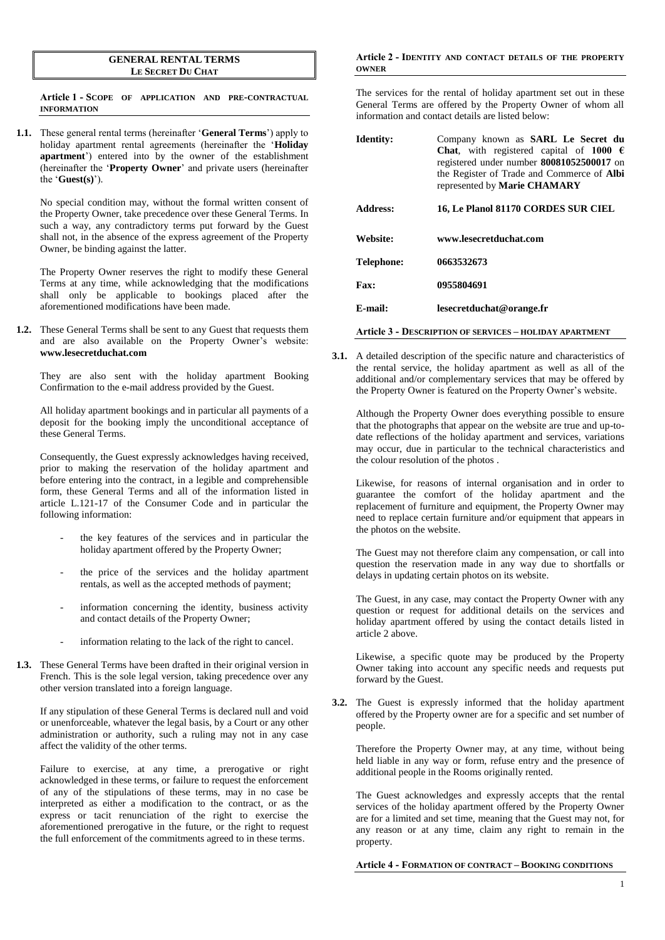## **GENERAL RENTAL TERMS LE SECRET DU CHAT**

**Article 1 - SCOPE OF APPLICATION AND PRE-CONTRACTUAL INFORMATION**

**1.1.** These general rental terms (hereinafter '**General Terms**') apply to holiday apartment rental agreements (hereinafter the '**Holiday apartment**') entered into by the owner of the establishment (hereinafter the '**Property Owner**' and private users (hereinafter the '**Guest(s)**').

No special condition may, without the formal written consent of the Property Owner, take precedence over these General Terms. In such a way, any contradictory terms put forward by the Guest shall not, in the absence of the express agreement of the Property Owner, be binding against the latter.

The Property Owner reserves the right to modify these General Terms at any time, while acknowledging that the modifications shall only be applicable to bookings placed after the aforementioned modifications have been made.

**1.2.** These General Terms shall be sent to any Guest that requests them and are also available on the Property Owner's website: **www.lesecretduchat.com**

They are also sent with the holiday apartment Booking Confirmation to the e-mail address provided by the Guest.

All holiday apartment bookings and in particular all payments of a deposit for the booking imply the unconditional acceptance of these General Terms.

Consequently, the Guest expressly acknowledges having received, prior to making the reservation of the holiday apartment and before entering into the contract, in a legible and comprehensible form, these General Terms and all of the information listed in article L.121-17 of the Consumer Code and in particular the following information:

- the key features of the services and in particular the holiday apartment offered by the Property Owner;
- the price of the services and the holiday apartment rentals, as well as the accepted methods of payment;
- information concerning the identity, business activity and contact details of the Property Owner;
- information relating to the lack of the right to cancel.
- **1.3.** These General Terms have been drafted in their original version in French. This is the sole legal version, taking precedence over any other version translated into a foreign language.

If any stipulation of these General Terms is declared null and void or unenforceable, whatever the legal basis, by a Court or any other administration or authority, such a ruling may not in any case affect the validity of the other terms.

Failure to exercise, at any time, a prerogative or right acknowledged in these terms, or failure to request the enforcement of any of the stipulations of these terms, may in no case be interpreted as either a modification to the contract, or as the express or tacit renunciation of the right to exercise the aforementioned prerogative in the future, or the right to request the full enforcement of the commitments agreed to in these terms.

## **Article 2 - IDENTITY AND CONTACT DETAILS OF THE PROPERTY OWNER**

The services for the rental of holiday apartment set out in these General Terms are offered by the Property Owner of whom all information and contact details are listed below:

| Identity:  | Company known as <b>SARL</b> Le Secret du<br><b>Chat</b> , with registered capital of 1000 $\epsilon$<br>registered under number 80081052500017 on<br>the Register of Trade and Commerce of Albi<br>represented by Marie CHAMARY |
|------------|----------------------------------------------------------------------------------------------------------------------------------------------------------------------------------------------------------------------------------|
| Address:   | 16, Le Planol 81170 CORDES SUR CIEL                                                                                                                                                                                              |
|            |                                                                                                                                                                                                                                  |
| Website:   | www.lesecretduchat.com                                                                                                                                                                                                           |
| Telephone: | 0663532673                                                                                                                                                                                                                       |
| Fax:       | 0955804691                                                                                                                                                                                                                       |
| E-mail:    | lesecretduchat@orange.fr                                                                                                                                                                                                         |

**Article 3 - DESCRIPTION OF SERVICES – HOLIDAY APARTMENT**

**3.1.** A detailed description of the specific nature and characteristics of the rental service, the holiday apartment as well as all of the additional and/or complementary services that may be offered by the Property Owner is featured on the Property Owner's website.

Although the Property Owner does everything possible to ensure that the photographs that appear on the website are true and up-todate reflections of the holiday apartment and services, variations may occur, due in particular to the technical characteristics and the colour resolution of the photos .

Likewise, for reasons of internal organisation and in order to guarantee the comfort of the holiday apartment and the replacement of furniture and equipment, the Property Owner may need to replace certain furniture and/or equipment that appears in the photos on the website.

The Guest may not therefore claim any compensation, or call into question the reservation made in any way due to shortfalls or delays in updating certain photos on its website.

The Guest, in any case, may contact the Property Owner with any question or request for additional details on the services and holiday apartment offered by using the contact details listed in article 2 above.

Likewise, a specific quote may be produced by the Property Owner taking into account any specific needs and requests put forward by the Guest.

**3.2.** The Guest is expressly informed that the holiday apartment offered by the Property owner are for a specific and set number of people.

Therefore the Property Owner may, at any time, without being held liable in any way or form, refuse entry and the presence of additional people in the Rooms originally rented.

The Guest acknowledges and expressly accepts that the rental services of the holiday apartment offered by the Property Owner are for a limited and set time, meaning that the Guest may not, for any reason or at any time, claim any right to remain in the property.

## **Article 4 - FORMATION OF CONTRACT – BOOKING CONDITIONS**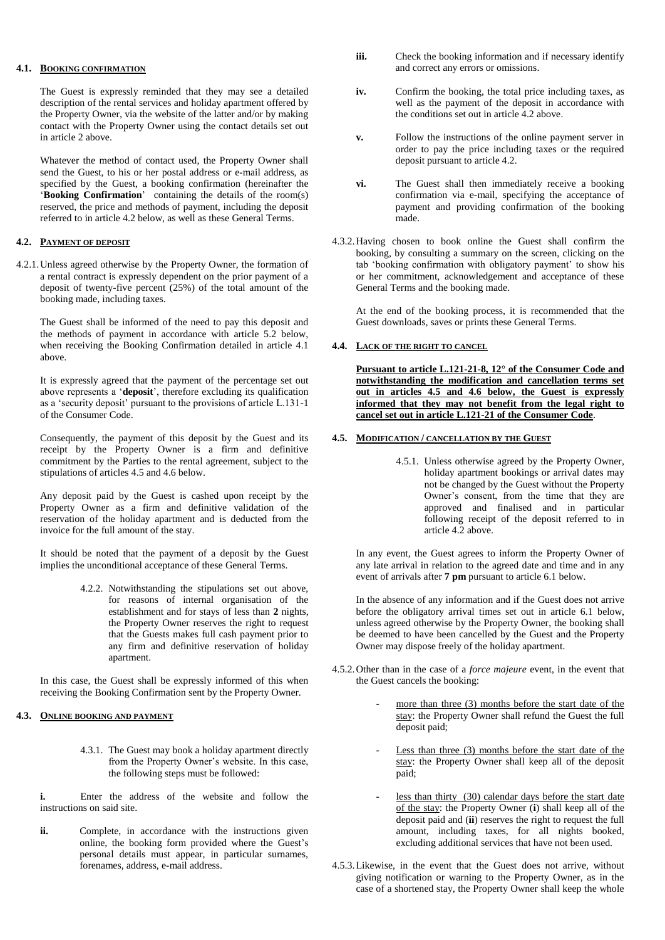# **4.1. BOOKING CONFIRMATION**

The Guest is expressly reminded that they may see a detailed description of the rental services and holiday apartment offered by the Property Owner, via the website of the latter and/or by making contact with the Property Owner using the contact details set out in article 2 above.

Whatever the method of contact used, the Property Owner shall send the Guest, to his or her postal address or e-mail address, as specified by the Guest, a booking confirmation (hereinafter the '**Booking Confirmation**' containing the details of the room(s) reserved, the price and methods of payment, including the deposit referred to in article 4.2 below, as well as these General Terms.

# **4.2. PAYMENT OF DEPOSIT**

4.2.1.Unless agreed otherwise by the Property Owner, the formation of a rental contract is expressly dependent on the prior payment of a deposit of twenty-five percent (25%) of the total amount of the booking made, including taxes.

The Guest shall be informed of the need to pay this deposit and the methods of payment in accordance with article 5.2 below, when receiving the Booking Confirmation detailed in article 4.1 above.

It is expressly agreed that the payment of the percentage set out above represents a '**deposit**', therefore excluding its qualification as a 'security deposit' pursuant to the provisions of article L.131-1 of the Consumer Code.

Consequently, the payment of this deposit by the Guest and its receipt by the Property Owner is a firm and definitive commitment by the Parties to the rental agreement, subject to the stipulations of articles 4.5 and 4.6 below.

Any deposit paid by the Guest is cashed upon receipt by the Property Owner as a firm and definitive validation of the reservation of the holiday apartment and is deducted from the invoice for the full amount of the stay.

It should be noted that the payment of a deposit by the Guest implies the unconditional acceptance of these General Terms.

> 4.2.2. Notwithstanding the stipulations set out above, for reasons of internal organisation of the establishment and for stays of less than **2** nights, the Property Owner reserves the right to request that the Guests makes full cash payment prior to any firm and definitive reservation of holiday apartment.

In this case, the Guest shall be expressly informed of this when receiving the Booking Confirmation sent by the Property Owner.

# **4.3. ONLINE BOOKING AND PAYMENT**

4.3.1. The Guest may book a holiday apartment directly from the Property Owner's website. In this case, the following steps must be followed:

**i.** Enter the address of the website and follow the instructions on said site.

ii. Complete, in accordance with the instructions given online, the booking form provided where the Guest's personal details must appear, in particular surnames, forenames, address, e-mail address.

- **iii.** Check the booking information and if necessary identify and correct any errors or omissions.
- **iv.** Confirm the booking, the total price including taxes, as well as the payment of the deposit in accordance with the conditions set out in article 4.2 above.
- **v.** Follow the instructions of the online payment server in order to pay the price including taxes or the required deposit pursuant to article 4.2.
- **vi.** The Guest shall then immediately receive a booking confirmation via e-mail, specifying the acceptance of payment and providing confirmation of the booking made.
- 4.3.2.Having chosen to book online the Guest shall confirm the booking, by consulting a summary on the screen, clicking on the tab 'booking confirmation with obligatory payment' to show his or her commitment, acknowledgement and acceptance of these General Terms and the booking made.

At the end of the booking process, it is recommended that the Guest downloads, saves or prints these General Terms.

# **4.4. LACK OF THE RIGHT TO CANCEL**

**Pursuant to article L.121-21-8, 12° of the Consumer Code and notwithstanding the modification and cancellation terms set out in articles 4.5 and 4.6 below, the Guest is expressly informed that they may not benefit from the legal right to cancel set out in article L.121-21 of the Consumer Code**.

## **4.5. MODIFICATION / CANCELLATION BY THE GUEST**

4.5.1. Unless otherwise agreed by the Property Owner, holiday apartment bookings or arrival dates may not be changed by the Guest without the Property Owner's consent, from the time that they are approved and finalised and in particular following receipt of the deposit referred to in article 4.2 above.

In any event, the Guest agrees to inform the Property Owner of any late arrival in relation to the agreed date and time and in any event of arrivals after **7 pm** pursuant to article 6.1 below.

In the absence of any information and if the Guest does not arrive before the obligatory arrival times set out in article 6.1 below, unless agreed otherwise by the Property Owner, the booking shall be deemed to have been cancelled by the Guest and the Property Owner may dispose freely of the holiday apartment.

- 4.5.2.Other than in the case of a *force majeure* event, in the event that the Guest cancels the booking:
	- more than three  $(3)$  months before the start date of the stay: the Property Owner shall refund the Guest the full deposit paid;
	- Less than three  $(3)$  months before the start date of the stay: the Property Owner shall keep all of the deposit paid;
	- less than thirty (30) calendar days before the start date of the stay: the Property Owner (**i**) shall keep all of the deposit paid and (**ii**) reserves the right to request the full amount, including taxes, for all nights booked, excluding additional services that have not been used.
- 4.5.3.Likewise, in the event that the Guest does not arrive, without giving notification or warning to the Property Owner, as in the case of a shortened stay, the Property Owner shall keep the whole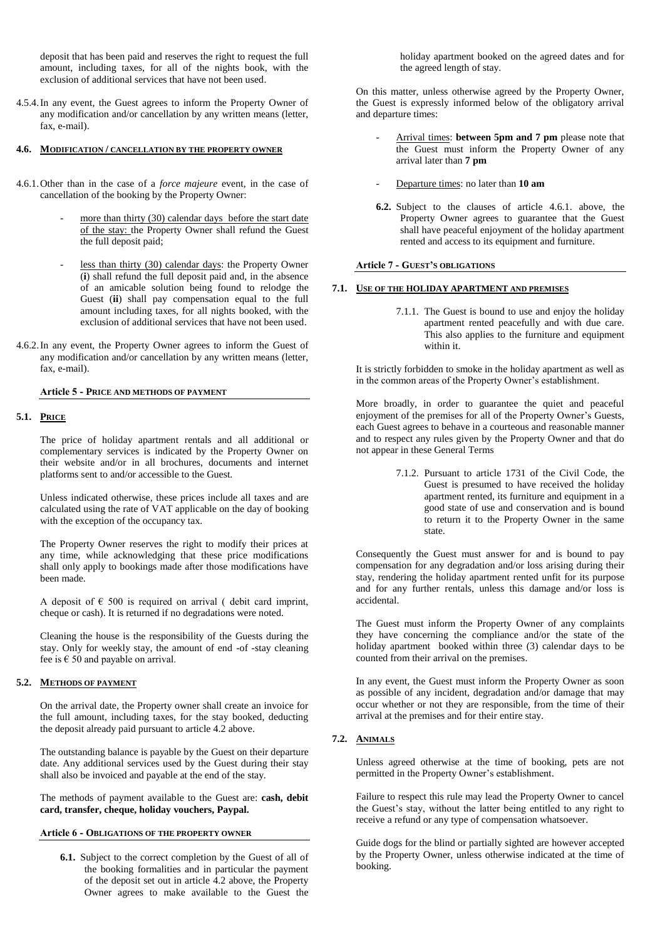deposit that has been paid and reserves the right to request the full amount, including taxes, for all of the nights book, with the exclusion of additional services that have not been used.

4.5.4.In any event, the Guest agrees to inform the Property Owner of any modification and/or cancellation by any written means (letter, fax, e-mail).

### **4.6. MODIFICATION / CANCELLATION BY THE PROPERTY OWNER**

- 4.6.1.Other than in the case of a *force majeure* event, in the case of cancellation of the booking by the Property Owner:
	- more than thirty  $(30)$  calendar days before the start date of the stay: the Property Owner shall refund the Guest the full deposit paid;
	- less than thirty (30) calendar days: the Property Owner (**i**) shall refund the full deposit paid and, in the absence of an amicable solution being found to relodge the Guest (**ii**) shall pay compensation equal to the full amount including taxes, for all nights booked, with the exclusion of additional services that have not been used.
- 4.6.2.In any event, the Property Owner agrees to inform the Guest of any modification and/or cancellation by any written means (letter, fax, e-mail).

### **Article 5 - PRICE AND METHODS OF PAYMENT**

### **5.1. PRICE**

The price of holiday apartment rentals and all additional or complementary services is indicated by the Property Owner on their website and/or in all brochures, documents and internet platforms sent to and/or accessible to the Guest.

Unless indicated otherwise, these prices include all taxes and are calculated using the rate of VAT applicable on the day of booking with the exception of the occupancy tax.

The Property Owner reserves the right to modify their prices at any time, while acknowledging that these price modifications shall only apply to bookings made after those modifications have been made.

A deposit of  $\epsilon$  500 is required on arrival ( debit card imprint, cheque or cash). It is returned if no degradations were noted.

Cleaning the house is the responsibility of the Guests during the stay. Only for weekly stay, the amount of end -of -stay cleaning fee is  $\epsilon$  50 and payable on arrival.

# **5.2. METHODS OF PAYMENT**

On the arrival date, the Property owner shall create an invoice for the full amount, including taxes, for the stay booked, deducting the deposit already paid pursuant to article 4.2 above.

The outstanding balance is payable by the Guest on their departure date. Any additional services used by the Guest during their stay shall also be invoiced and payable at the end of the stay.

The methods of payment available to the Guest are: **cash, debit card, transfer, cheque, holiday vouchers, Paypal.**

### **Article 6 - OBLIGATIONS OF THE PROPERTY OWNER**

**6.1.** Subject to the correct completion by the Guest of all of the booking formalities and in particular the payment of the deposit set out in article 4.2 above, the Property Owner agrees to make available to the Guest the holiday apartment booked on the agreed dates and for the agreed length of stay.

On this matter, unless otherwise agreed by the Property Owner, the Guest is expressly informed below of the obligatory arrival and departure times:

- Arrival times: **between 5pm and 7 pm** please note that the Guest must inform the Property Owner of any arrival later than **7 pm**
- Departure times: no later than **10 am**
- **6.2.** Subject to the clauses of article 4.6.1. above, the Property Owner agrees to guarantee that the Guest shall have peaceful enjoyment of the holiday apartment rented and access to its equipment and furniture.

### **Article 7 - GUEST'S OBLIGATIONS**

### **7.1. USE OF THE HOLIDAY APARTMENT AND PREMISES**

7.1.1. The Guest is bound to use and enjoy the holiday apartment rented peacefully and with due care. This also applies to the furniture and equipment within it.

It is strictly forbidden to smoke in the holiday apartment as well as in the common areas of the Property Owner's establishment.

More broadly, in order to guarantee the quiet and peaceful enjoyment of the premises for all of the Property Owner's Guests, each Guest agrees to behave in a courteous and reasonable manner and to respect any rules given by the Property Owner and that do not appear in these General Terms

> 7.1.2. Pursuant to article 1731 of the Civil Code, the Guest is presumed to have received the holiday apartment rented, its furniture and equipment in a good state of use and conservation and is bound to return it to the Property Owner in the same state.

Consequently the Guest must answer for and is bound to pay compensation for any degradation and/or loss arising during their stay, rendering the holiday apartment rented unfit for its purpose and for any further rentals, unless this damage and/or loss is accidental.

The Guest must inform the Property Owner of any complaints they have concerning the compliance and/or the state of the holiday apartment booked within three (3) calendar days to be counted from their arrival on the premises.

In any event, the Guest must inform the Property Owner as soon as possible of any incident, degradation and/or damage that may occur whether or not they are responsible, from the time of their arrival at the premises and for their entire stay.

# **7.2. ANIMALS**

Unless agreed otherwise at the time of booking, pets are not permitted in the Property Owner's establishment.

Failure to respect this rule may lead the Property Owner to cancel the Guest's stay, without the latter being entitled to any right to receive a refund or any type of compensation whatsoever.

Guide dogs for the blind or partially sighted are however accepted by the Property Owner, unless otherwise indicated at the time of booking.